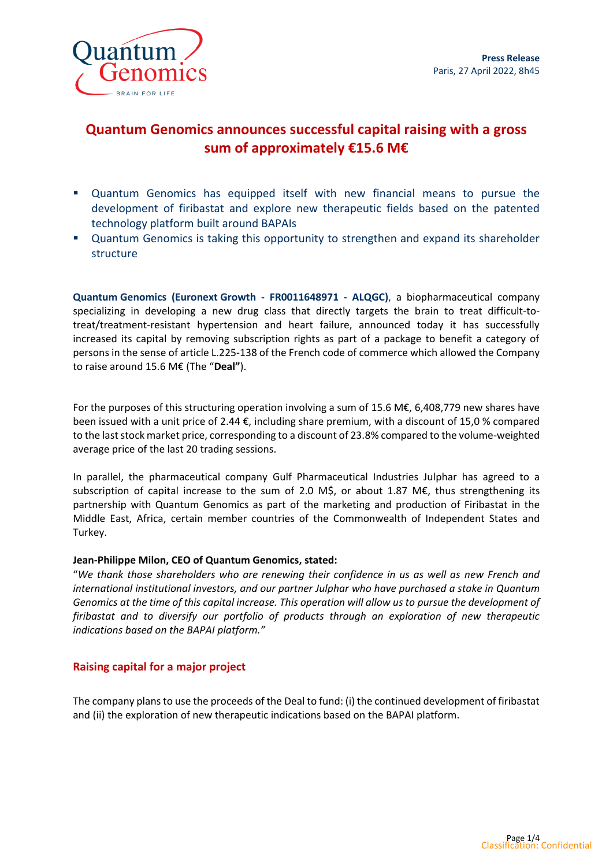

# **Quantum Genomics announces successful capital raising with a gross sum of approximately €15.6 M€**

- Quantum Genomics has equipped itself with new financial means to pursue the development of firibastat and explore new therapeutic fields based on the patented technology platform built around BAPAIs
- Quantum Genomics is taking this opportunity to strengthen and expand its shareholder structure

**Quantum Genomics (Euronext Growth - FR0011648971 - ALQGC)**, a biopharmaceutical company specializing in developing a new drug class that directly targets the brain to treat difficult-totreat/treatment-resistant hypertension and heart failure, announced today it has successfully increased its capital by removing subscription rights as part of a package to benefit a category of persons in the sense of article L.225-138 of the French code of commerce which allowed the Company to raise around 15.6 M€ (The "**Deal"**).

For the purposes of this structuring operation involving a sum of 15.6 M€, 6,408,779 new shares have been issued with a unit price of 2.44 €, including share premium, with a discount of 15,0 % compared to the last stock market price, corresponding to a discount of 23.8% compared to the volume-weighted average price of the last 20 trading sessions.

In parallel, the pharmaceutical company Gulf Pharmaceutical Industries Julphar has agreed to a subscription of capital increase to the sum of 2.0 M\$, or about 1.87 M $\epsilon$ , thus strengthening its partnership with Quantum Genomics as part of the marketing and production of Firibastat in the Middle East, Africa, certain member countries of the Commonwealth of Independent States and Turkey.

# **Jean-Philippe Milon, CEO of Quantum Genomics, stated:**

"*We thank those shareholders who are renewing their confidence in us as well as new French and international institutional investors, and our partner Julphar who have purchased a stake in Quantum Genomics at the time of this capital increase. This operation will allow us to pursue the development of firibastat and to diversify our portfolio of products through an exploration of new therapeutic indications based on the BAPAI platform."*

# **Raising capital for a major project**

The company plans to use the proceeds of the Deal to fund: (i) the continued development of firibastat and (ii) the exploration of new therapeutic indications based on the BAPAI platform.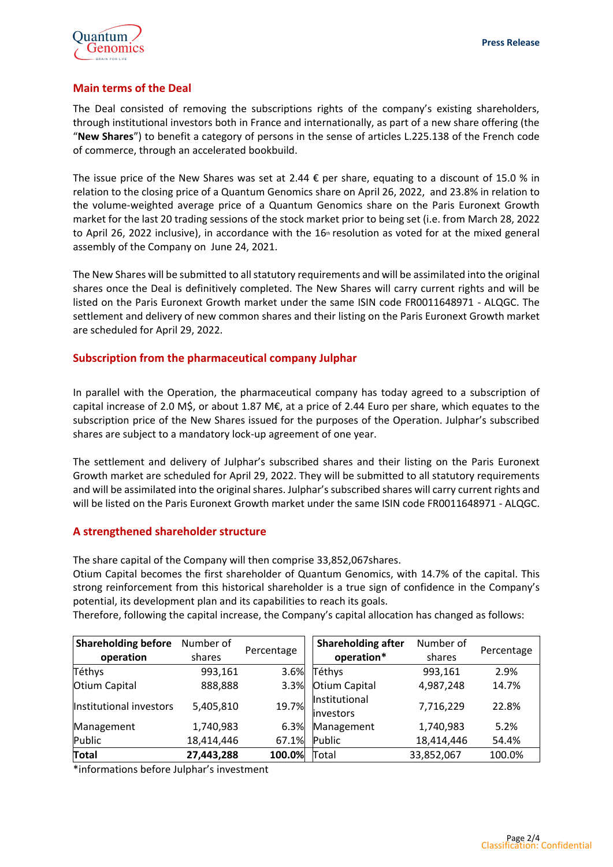

### **Main terms of the Deal**

The Deal consisted of removing the subscriptions rights of the company's existing shareholders, through institutional investors both in France and internationally, as part of a new share offering (the "**New Shares**") to benefit a category of persons in the sense of articles L.225.138 of the French code of commerce, through an accelerated bookbuild.

The issue price of the New Shares was set at 2.44  $\epsilon$  per share, equating to a discount of 15.0 % in relation to the closing price of a Quantum Genomics share on April 26, 2022, and 23.8% in relation to the volume-weighted average price of a Quantum Genomics share on the Paris Euronext Growth market for the last 20 trading sessions of the stock market prior to being set (i.e. from March 28, 2022 to April 26, 2022 inclusive), in accordance with the  $16<sup>th</sup>$  resolution as voted for at the mixed general assembly of the Company on June 24, 2021.

The New Shares will be submitted to all statutory requirements and will be assimilated into the original shares once the Deal is definitively completed. The New Shares will carry current rights and will be listed on the Paris Euronext Growth market under the same ISIN code FR0011648971 - ALQGC. The settlement and delivery of new common shares and their listing on the Paris Euronext Growth market are scheduled for April 29, 2022.

# **Subscription from the pharmaceutical company Julphar**

In parallel with the Operation, the pharmaceutical company has today agreed to a subscription of capital increase of 2.0 M\$, or about 1.87 M€, at a price of 2.44 Euro per share, which equates to the subscription price of the New Shares issued for the purposes of the Operation. Julphar's subscribed shares are subject to a mandatory lock-up agreement of one year.

The settlement and delivery of Julphar's subscribed shares and their listing on the Paris Euronext Growth market are scheduled for April 29, 2022. They will be submitted to all statutory requirements and will be assimilated into the original shares. Julphar's subscribed shares will carry current rights and will be listed on the Paris Euronext Growth market under the same ISIN code FR0011648971 - ALQGC.

# **A strengthened shareholder structure**

The share capital of the Company will then comprise 33,852,067shares.

Otium Capital becomes the first shareholder of Quantum Genomics, with 14.7% of the capital. This strong reinforcement from this historical shareholder is a true sign of confidence in the Company's potential, its development plan and its capabilities to reach its goals.

Therefore, following the capital increase, the Company's capital allocation has changed as follows:

| <b>Shareholding before</b> | Number of  | Percentage | Shareholding after          | Number of  | Percentage |
|----------------------------|------------|------------|-----------------------------|------------|------------|
| operation                  | shares     |            | operation*                  | shares     |            |
| Téthys                     | 993,161    | 3.6%       | Téthys                      | 993,161    | 2.9%       |
| Otium Capital              | 888,888    | 3.3%       | Otium Capital               | 4,987,248  | 14.7%      |
| Institutional investors    | 5,405,810  | 19.7%      | Institutional<br>linvestors | 7,716,229  | 22.8%      |
| Management                 | 1,740,983  | 6.3%       | Management                  | 1,740,983  | 5.2%       |
| Public                     | 18,414,446 | 67.1%      | Public                      | 18,414,446 | 54.4%      |
| <b>Total</b>               | 27,443,288 | 100.0%     | Total                       | 33,852,067 | 100.0%     |

\*informations before Julphar's investment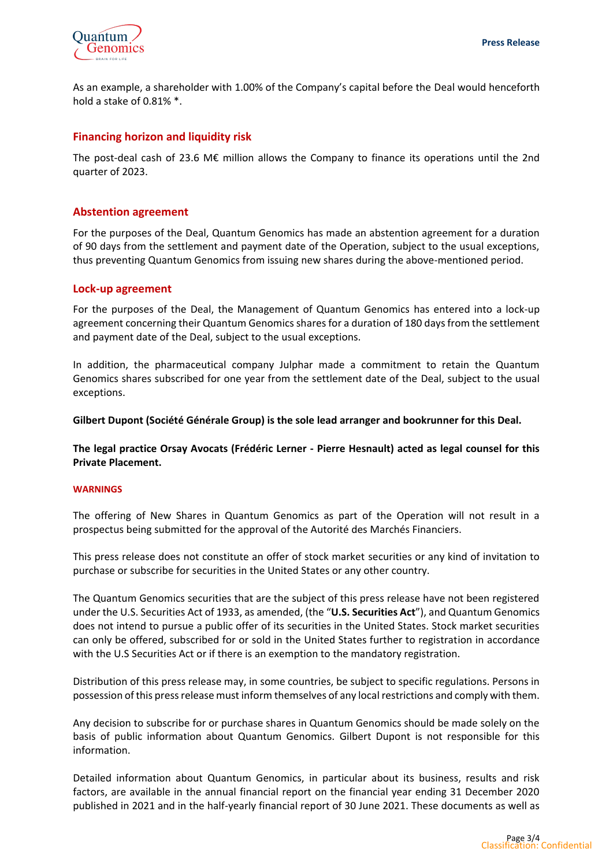

As an example, a shareholder with 1.00% of the Company's capital before the Deal would henceforth hold a stake of 0.81% \*.

### **Financing horizon and liquidity risk**

The post-deal cash of 23.6 M€ million allows the Company to finance its operations until the 2nd quarter of 2023.

### **Abstention agreement**

For the purposes of the Deal, Quantum Genomics has made an abstention agreement for a duration of 90 days from the settlement and payment date of the Operation, subject to the usual exceptions, thus preventing Quantum Genomics from issuing new shares during the above-mentioned period.

### **Lock-up agreement**

For the purposes of the Deal, the Management of Quantum Genomics has entered into a lock-up agreement concerning their Quantum Genomics shares for a duration of 180 days from the settlement and payment date of the Deal, subject to the usual exceptions.

In addition, the pharmaceutical company Julphar made a commitment to retain the Quantum Genomics shares subscribed for one year from the settlement date of the Deal, subject to the usual exceptions.

**Gilbert Dupont (Société Générale Group) is the sole lead arranger and bookrunner for this Deal.**

**The legal practice Orsay Avocats (Frédéric Lerner - Pierre Hesnault) acted as legal counsel for this Private Placement.**

### **WARNINGS**

The offering of New Shares in Quantum Genomics as part of the Operation will not result in a prospectus being submitted for the approval of the Autorité des Marchés Financiers.

This press release does not constitute an offer of stock market securities or any kind of invitation to purchase or subscribe for securities in the United States or any other country.

The Quantum Genomics securities that are the subject of this press release have not been registered under the U.S. Securities Act of 1933, as amended, (the "**U.S. Securities Act**"), and Quantum Genomics does not intend to pursue a public offer of its securities in the United States. Stock market securities can only be offered, subscribed for or sold in the United States further to registration in accordance with the U.S Securities Act or if there is an exemption to the mandatory registration.

Distribution of this press release may, in some countries, be subject to specific regulations. Persons in possession of this press release must inform themselves of any local restrictions and comply with them.

Any decision to subscribe for or purchase shares in Quantum Genomics should be made solely on the basis of public information about Quantum Genomics. Gilbert Dupont is not responsible for this information.

Detailed information about Quantum Genomics, in particular about its business, results and risk factors, are available in the annual financial report on the financial year ending 31 December 2020 published in 2021 and in the half-yearly financial report of 30 June 2021. These documents as well as